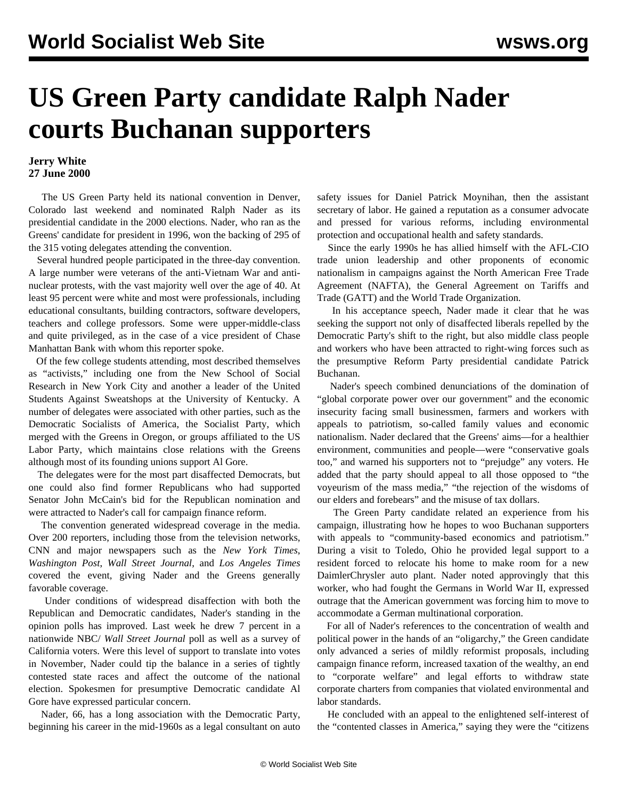## **US Green Party candidate Ralph Nader courts Buchanan supporters**

## **Jerry White 27 June 2000**

The US Green Party held its national convention in Denver, Colorado last weekend and nominated Ralph Nader as its presidential candidate in the 2000 elections. Nader, who ran as the Greens' candidate for president in 1996, won the backing of 295 of the 315 voting delegates attending the convention.

 Several hundred people participated in the three-day convention. A large number were veterans of the anti-Vietnam War and antinuclear protests, with the vast majority well over the age of 40. At least 95 percent were white and most were professionals, including educational consultants, building contractors, software developers, teachers and college professors. Some were upper-middle-class and quite privileged, as in the case of a vice president of Chase Manhattan Bank with whom this reporter spoke.

 Students Against Sweatshops at the University of Kentucky. A Of the few college students attending, most described themselves as "activists," including one from the New School of Social Research in New York City and another a leader of the United number of delegates were associated with other parties, such as the Democratic Socialists of America, the Socialist Party, which merged with the Greens in Oregon, or groups affiliated to the US Labor Party, which maintains close relations with the Greens although most of its founding unions support Al Gore.

 The delegates were for the most part disaffected Democrats, but one could also find former Republicans who had supported Senator John McCain's bid for the Republican nomination and were attracted to Nader's call for campaign finance reform.

 The convention generated widespread coverage in the media. Over 200 reporters, including those from the television networks, CNN and major newspapers such as the *New York Times*, *Washington Post*, *Wall Street Journal*, and *Los Angeles Times* covered the event, giving Nader and the Greens generally favorable coverage.

 Under conditions of widespread disaffection with both the Republican and Democratic candidates, Nader's standing in the opinion polls has improved. Last week he drew 7 percent in a nationwide NBC/ *Wall Street Journal* poll as well as a survey of California voters. Were this level of support to translate into votes in November, Nader could tip the balance in a series of tightly contested state races and affect the outcome of the national election. Spokesmen for presumptive Democratic candidate Al Gore have expressed particular concern.

 Nader, 66, has a long association with the Democratic Party, beginning his career in the mid-1960s as a legal consultant on auto safety issues for Daniel Patrick Moynihan, then the assistant secretary of labor. He gained a reputation as a consumer advocate and pressed for various reforms, including environmental protection and occupational health and safety standards.

 Since the early 1990s he has allied himself with the AFL-CIO trade union leadership and other proponents of economic nationalism in campaigns against the North American Free Trade Agreement (NAFTA), the General Agreement on Tariffs and Trade (GATT) and the World Trade Organization.

 In his acceptance speech, Nader made it clear that he was seeking the support not only of disaffected liberals repelled by the Democratic Party's shift to the right, but also middle class people and workers who have been attracted to right-wing forces such as the presumptive Reform Party presidential candidate Patrick Buchanan.

 Nader's speech combined denunciations of the domination of "global corporate power over our government" and the economic insecurity facing small businessmen, farmers and workers with appeals to patriotism, so-called family values and economic nationalism. Nader declared that the Greens' aims—for a healthier environment, communities and people—were "conservative goals too," and warned his supporters not to "prejudge" any voters. He added that the party should appeal to all those opposed to "the voyeurism of the mass media," "the rejection of the wisdoms of our elders and forebears" and the misuse of tax dollars.

 The Green Party candidate related an experience from his campaign, illustrating how he hopes to woo Buchanan supporters with appeals to "community-based economics and patriotism." During a visit to Toledo, Ohio he provided legal support to a resident forced to relocate his home to make room for a new DaimlerChrysler auto plant. Nader noted approvingly that this worker, who had fought the Germans in World War II, expressed outrage that the American government was forcing him to move to accommodate a German multinational corporation.

 For all of Nader's references to the concentration of wealth and political power in the hands of an "oligarchy," the Green candidate only advanced a series of mildly reformist proposals, including campaign finance reform, increased taxation of the wealthy, an end to "corporate welfare" and legal efforts to withdraw state corporate charters from companies that violated environmental and labor standards.

 He concluded with an appeal to the enlightened self-interest of the "contented classes in America," saying they were the "citizens